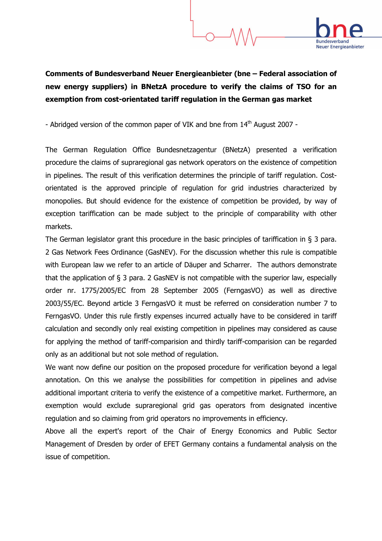

## Comments of Bundesverband Neuer Energieanbieter (bne – Federal association of new energy suppliers) in BNetzA procedure to verify the claims of TSO for an exemption from cost-orientated tariff regulation in the German gas market

- Abridged version of the common paper of VIK and bne from 14<sup>th</sup> August 2007 -

The German Regulation Office Bundesnetzagentur (BNetzA) presented a verification procedure the claims of supraregional gas network operators on the existence of competition in pipelines. The result of this verification determines the principle of tariff regulation. Costorientated is the approved principle of regulation for grid industries characterized by monopolies. But should evidence for the existence of competition be provided, by way of exception tariffication can be made subject to the principle of comparability with other markets.

The German legislator grant this procedure in the basic principles of tariffication in § 3 para. 2 Gas Network Fees Ordinance (GasNEV). For the discussion whether this rule is compatible with European law we refer to an article of Däuper and Scharrer. The authors demonstrate that the application of § 3 para. 2 GasNEV is not compatible with the superior law, especially order nr. 1775/2005/EC from 28 September 2005 (FerngasVO) as well as directive 2003/55/EC. Beyond article 3 FerngasVO it must be referred on consideration number 7 to FerngasVO. Under this rule firstly expenses incurred actually have to be considered in tariff calculation and secondly only real existing competition in pipelines may considered as cause for applying the method of tariff-comparision and thirdly tariff-comparision can be regarded only as an additional but not sole method of regulation.

We want now define our position on the proposed procedure for verification beyond a legal annotation. On this we analyse the possibilities for competition in pipelines and advise additional important criteria to verify the existence of a competitive market. Furthermore, an exemption would exclude supraregional grid gas operators from designated incentive regulation and so claiming from grid operators no improvements in efficiency.

Above all the expert's report of the Chair of Energy Economics and Public Sector Management of Dresden by order of EFET Germany contains a fundamental analysis on the issue of competition.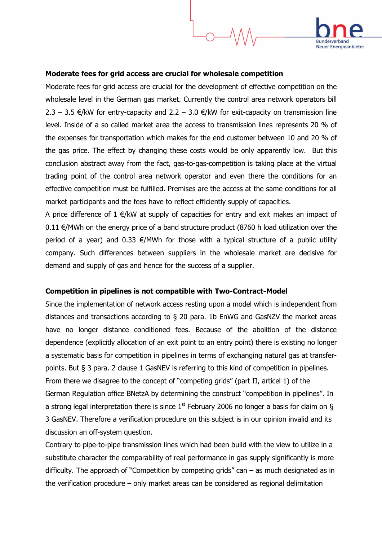

## Moderate fees for grid access are crucial for wholesale competition

Moderate fees for grid access are crucial for the development of effective competition on the wholesale level in the German gas market. Currently the control area network operators bill 2.3 – 3.5 €/kW for entry-capacity and 2.2 – 3.0 €/kW for exit-capacity on transmission line level. Inside of a so called market area the access to transmission lines represents 20 % of the expenses for transportation which makes for the end customer between 10 and 20 % of the gas price. The effect by changing these costs would be only apparently low. But this conclusion abstract away from the fact, gas-to-gas-competition is taking place at the virtual trading point of the control area network operator and even there the conditions for an effective competition must be fulfilled. Premises are the access at the same conditions for all market participants and the fees have to reflect efficiently supply of capacities.

A price difference of  $1 \in K$  at supply of capacities for entry and exit makes an impact of 0.11  $€/MWh$  on the energy price of a band structure product (8760 h load utilization over the period of a year) and 0.33  $\epsilon$ /MWh for those with a typical structure of a public utility company. Such differences between suppliers in the wholesale market are decisive for demand and supply of gas and hence for the success of a supplier.

## Competition in pipelines is not compatible with Two-Contract-Model

Since the implementation of network access resting upon a model which is independent from distances and transactions according to § 20 para. 1b EnWG and GasNZV the market areas have no longer distance conditioned fees. Because of the abolition of the distance dependence (explicitly allocation of an exit point to an entry point) there is existing no longer a systematic basis for competition in pipelines in terms of exchanging natural gas at transferpoints. But § 3 para. 2 clause 1 GasNEV is referring to this kind of competition in pipelines. From there we disagree to the concept of "competing grids" (part II, articel 1) of the German Regulation office BNetzA by determining the construct "competition in pipelines". In a strong legal interpretation there is since  $1^{st}$  February 2006 no longer a basis for claim on § 3 GasNEV. Therefore a verification procedure on this subject is in our opinion invalid and its discussion an off-system question.

Contrary to pipe-to-pipe transmission lines which had been build with the view to utilize in a substitute character the comparability of real performance in gas supply significantly is more difficulty. The approach of "Competition by competing grids" can  $-$  as much designated as in the verification procedure – only market areas can be considered as regional delimitation